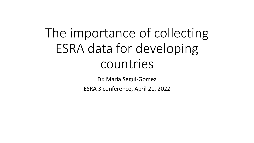# The importance of collecting ESRA data for developing countries

Dr. Maria Segui-Gomez

ESRA 3 conference, April 21, 2022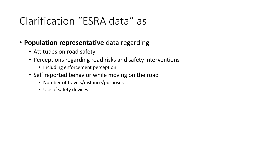## Clarification "ESRA data" as

- **Population representative** data regarding
	- Attitudes on road safety
	- Perceptions regarding road risks and safety interventions
		- Including enforcement perception
	- Self reported behavior while moving on the road
		- Number of travels/distance/purposes
		- Use of safety devices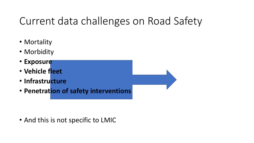## Current data challenges on Road Safety

- Mortality
- Morbidity
- **Exposure**
- **Vehicle fleet**
- **Infrastructure**
- **Penetration of safety interventions**

• And this is not specific to LMIC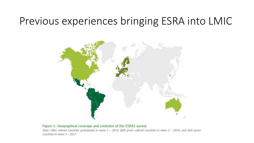### Previous experiences bringing ESRA into LMIC



#### Figure 1: Geographical coverage and evolution of the ESRA1 survey

Note: Olive colored countries participated in wave 1 - 2015; light green colored countries in wave 2 - 2016; and dark green countries in wave 3 - 2017.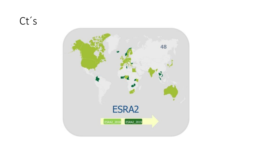$Ct's$ 

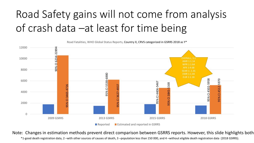## Road Safety gains will not come from analysis of crash data –at least for time being

![](_page_5_Figure_1.jpeg)

Note: Changes in estimation methods prevent direct comparison between GSRRS reports. However, this slide highlights both

\*1-good death registration data, 2 –with other sources of causes of death, 3 –population less than 150 000, and 4 –without eligible death registration data (2018 GSRRS).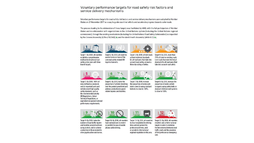#### Voluntary performance targets for road safety risk factors and service delivery mechanisms

Voluntary performance targets for road safety risk factors and service delivery mechanisms were adopted by Member States on 21 November 2017 as a way to quide countries' efforts and accelerate progress towards safer roads.

The process leading to the elaboration of these targets was facilitated by WHO, with the full participation of Member States and in collaboration with organizations in the United Nations system (including the United Nations regional commissions), through the existing mechanisms (including the United Nations Road Safety Collaboration) as requested by the General Assembly (A/Res/70/260) (b) and the World Health Assembly (WHA 69.7) (b).

![](_page_6_Picture_3.jpeg)

![](_page_6_Picture_4.jpeg)

legal instruments.

 $10$ 

phones while driving.

 $\frac{2030}{2030}$ 

![](_page_6_Picture_5.jpeg)

![](_page_6_Picture_6.jpeg)

Target 1: By 2020, all countries establish a comprehensive multisectoral national road safety action plan with timebound targets.

Target 2: By 2030, all countries Target 3: By 2030, all new roads accede to one or more of the achieve technical standards core road safety-related UN for all road users that take into account road safety, or meet a three star rating or better.

57

 $2030$ 

Target 4: By 2030, more than 75% of travel on existing roads is on roads that meet technical standards for all road users that take into account road safety.

![](_page_6_Picture_11.jpeg)

![](_page_6_Picture_12.jpeg)

![](_page_6_Picture_13.jpeg)

Target 5: By 2030, 100% of new (defined as produced, sold or imported) and used vehicles meet high quality safety standards, such as the recommended priority **UN Regulations, Global Technical Regulations, or** equivalent recognized national performance requirements.

![](_page_6_Picture_15.jpeg)

proportion of vehicles travelling over the posted speed limit and achieve a reduction in speedrelated injuries and fatalities.

Target 7: By 2030, increase the proportion of motorcycle riders correctly using standard helmets to close to 100%.

Target 8: By 2030, increase the proportion of motor vehicle occupants using safety belts or standard child restraint systems to close to 100%.

![](_page_6_Picture_19.jpeg)

Target 9: By 2030, halve the number of road traffic injuries and fatalities related to drivers using alcohol, and/or achieve a reduction in those related to other psychoactive substances.

![](_page_6_Picture_21.jpeg)

Target 10: By 2030, all countries Target 11: By 2030, all countries have national laws to restrict to enact regulation for driving or prohibit the use of mobile time and rest periods for professional drivers, and/ or accede to international/ regional regulation in this area.

![](_page_6_Picture_23.jpeg)

care.

Target 12: By 2030, all countries establish and achieve national targets in order to minimize the time interval between road traffic crash and the provision of first professional emergency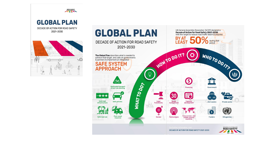![](_page_7_Picture_0.jpeg)

![](_page_7_Figure_1.jpeg)

![](_page_7_Picture_2.jpeg)

2021-2030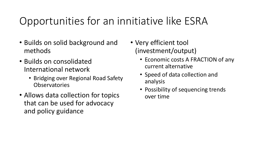## Opportunities for an innitiative like ESRA

- Builds on solid background and methods
- Builds on consolidated International network
	- Bridging over Regional Road Safety Observatories
- Allows data collection for topics that can be used for advocacy and policy guidance
- Very efficient tool (investment/output)
	- Economic costs A FRACTION of any current alternative
	- Speed of data collection and analysis
	- Possibility of sequencing trends over time